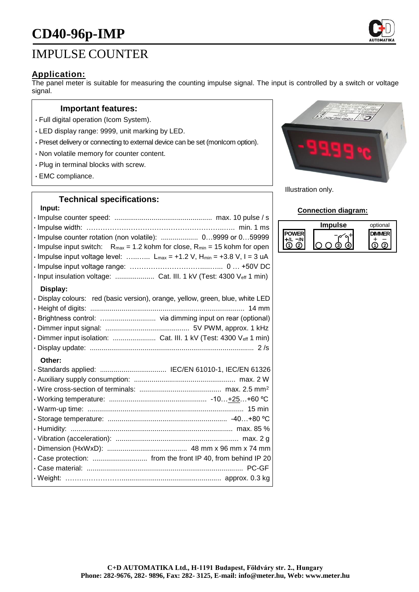# **CD40-96p-IMP**

# IMPULSE COUNTER

### **Application:**

The panel meter is suitable for measuring the counting impulse signal. The input is controlled by a switch or voltage signal.

#### **Important features:**

- Full digital operation (Icom System).
- LED display range: 9999, unit marking by LED.
- Preset delivery or connecting to external device can be set (monIcom option).
- Non volatile memory for counter content.
- Plug in terminal blocks with screw.
- EMC compliance.

### **Technical specifications:**

#### **Input:**

| · Impulse counter rotation (non volatile):  09999 or 059999<br>$\cdot$ Impulse input switch: R <sub>max</sub> = 1.2 kohm for close, R <sub>min</sub> = 15 kohm for open<br>$\cdot$ Impulse input voltage level:  L <sub>max</sub> = +1.2 V, H <sub>min</sub> = +3.8 V, I = 3 uA<br>· Input insulation voltage:  Cat. III. 1 kV (Test: 4300 Veff 1 min) |
|--------------------------------------------------------------------------------------------------------------------------------------------------------------------------------------------------------------------------------------------------------------------------------------------------------------------------------------------------------|
| Display:<br>· Display colours: red (basic version), orange, yellow, green, blue, white LED<br>· Dimmer input isolation:  Cat. III. 1 kV (Test: 4300 Veff 1 min)                                                                                                                                                                                        |
| Other:                                                                                                                                                                                                                                                                                                                                                 |



Illustration only.

#### **Connection diagram:**